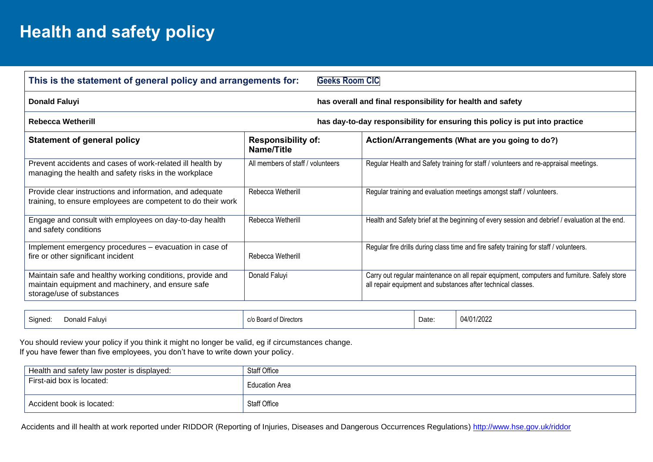## **Health and safety policy**

| This is the statement of general policy and arrangements for:<br><b>Geeks Room CIC</b>                                                      |                                         |                                                                                                                                                              |  |  |  |  |
|---------------------------------------------------------------------------------------------------------------------------------------------|-----------------------------------------|--------------------------------------------------------------------------------------------------------------------------------------------------------------|--|--|--|--|
| <b>Donald Faluyi</b><br>has overall and final responsibility for health and safety                                                          |                                         |                                                                                                                                                              |  |  |  |  |
| <b>Rebecca Wetherill</b><br>has day-to-day responsibility for ensuring this policy is put into practice                                     |                                         |                                                                                                                                                              |  |  |  |  |
| <b>Statement of general policy</b>                                                                                                          | <b>Responsibility of:</b><br>Name/Title | Action/Arrangements (What are you going to do?)                                                                                                              |  |  |  |  |
| Prevent accidents and cases of work-related ill health by<br>managing the health and safety risks in the workplace                          | All members of staff / volunteers       | Regular Health and Safety training for staff / volunteers and re-appraisal meetings.                                                                         |  |  |  |  |
| Provide clear instructions and information, and adequate<br>training, to ensure employees are competent to do their work                    | Rebecca Wetherill                       | Regular training and evaluation meetings amongst staff / volunteers.                                                                                         |  |  |  |  |
| Engage and consult with employees on day-to-day health<br>and safety conditions                                                             | Rebecca Wetherill                       | Health and Safety brief at the beginning of every session and debrief / evaluation at the end.                                                               |  |  |  |  |
| Implement emergency procedures – evacuation in case of<br>fire or other significant incident                                                | Rebecca Wetherill                       | Regular fire drills during class time and fire safety training for staff / volunteers.                                                                       |  |  |  |  |
| Maintain safe and healthy working conditions, provide and<br>maintain equipment and machinery, and ensure safe<br>storage/use of substances | Donald Faluyi                           | Carry out regular maintenance on all repair equipment, computers and furniture. Safely store<br>all repair equipment and substances after technical classes. |  |  |  |  |

| Sianed<br>Laluv,<br>Donald | $\sim$ $\sim$ $\sim$<br>c/o Board of Directors | Date: | 04/01/2022 |
|----------------------------|------------------------------------------------|-------|------------|
|----------------------------|------------------------------------------------|-------|------------|

 You should review your policy if you think it might no longer be valid, eg if circumstances change. If you have fewer than five employees, you don't have to write down your policy.

| Health and safety law poster is displayed: | Staff Office          |
|--------------------------------------------|-----------------------|
| First-aid box is located:                  | <b>Education Area</b> |
| Accident book is located:                  | <b>Staff Office</b>   |

Accidents and ill health at work reported under RIDDOR (Reporting of Injuries, Diseases and Dangerous Occurrences Regulations)<http://www.hse.gov.uk/riddor>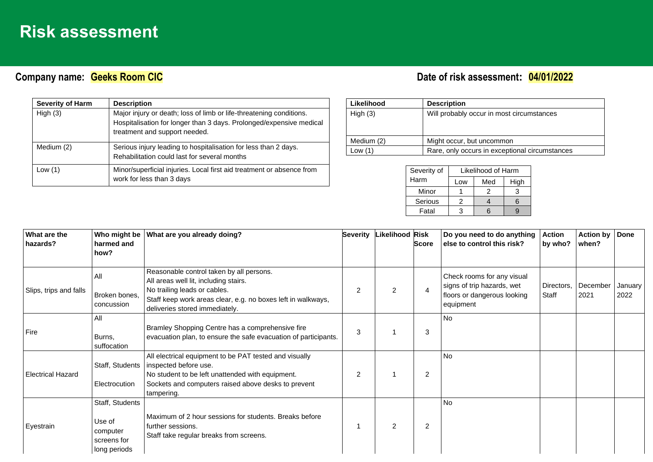## **Risk assessment**

## **Company name:** Callent Company of Cases Company name: Company name: Company name:  $\frac{04}{01/2022}$

| <b>Severity of Harm</b> | <b>Description</b>                                                                                                                                                          |
|-------------------------|-----------------------------------------------------------------------------------------------------------------------------------------------------------------------------|
| High $(3)$              | Major injury or death; loss of limb or life-threatening conditions.<br>Hospitalisation for longer than 3 days. Prolonged/expensive medical<br>treatment and support needed. |
| Medium (2)              | Serious injury leading to hospitalisation for less than 2 days.<br>Rehabilitation could last for several months                                                             |
| Low $(1)$               | Minor/superficial injuries. Local first aid treatment or absence from<br>work for less than 3 days                                                                          |

| Likelihood | <b>Description</b>                             |
|------------|------------------------------------------------|
| High $(3)$ | Will probably occur in most circumstances      |
| Medium (2) | Might occur, but uncommon                      |
| Low $(1)$  | Rare, only occurs in exceptional circumstances |

| Severity of | Likelihood of Harm |     |      |  |  |  |
|-------------|--------------------|-----|------|--|--|--|
| Harm        | Low                | Med | High |  |  |  |
| Minor       |                    | 2   |      |  |  |  |
| Serious     | 2                  |     |      |  |  |  |
| Fatal       | 3                  |     |      |  |  |  |

| What are the             | Who might be                                                         | What are you already doing?                                                                                                                                                                              | <b>Severity</b> | Likelihood Risk |                | Do you need to do anything                                                                           | Action              | <b>Action by</b> | <b>Done</b>     |
|--------------------------|----------------------------------------------------------------------|----------------------------------------------------------------------------------------------------------------------------------------------------------------------------------------------------------|-----------------|-----------------|----------------|------------------------------------------------------------------------------------------------------|---------------------|------------------|-----------------|
| hazards?                 | harmed and                                                           |                                                                                                                                                                                                          |                 |                 | <b>Score</b>   | else to control this risk?                                                                           | by who?             | when?            |                 |
|                          | how?                                                                 |                                                                                                                                                                                                          |                 |                 |                |                                                                                                      |                     |                  |                 |
| Slips, trips and falls   | All<br>Broken bones,<br>concussion                                   | Reasonable control taken by all persons.<br>All areas well lit, including stairs.<br>No trailing leads or cables.<br>Staff keep work areas clear, e.g. no boxes left in walkways,                        | 2               | $\overline{2}$  | 4              | Check rooms for any visual<br>signs of trip hazards, wet<br>floors or dangerous looking<br>equipment | Directors,<br>Staff | December<br>2021 | January<br>2022 |
|                          |                                                                      | deliveries stored immediately.                                                                                                                                                                           |                 |                 |                |                                                                                                      |                     |                  |                 |
| Fire                     | All<br>Burns,<br>suffocation                                         | Bramley Shopping Centre has a comprehensive fire<br>evacuation plan, to ensure the safe evacuation of participants.                                                                                      | 3               |                 | 3              | No                                                                                                   |                     |                  |                 |
| <b>Electrical Hazard</b> | Staff, Students<br>Electrocution                                     | All electrical equipment to be PAT tested and visually<br>inspected before use.<br>No student to be left unattended with equipment.<br>Sockets and computers raised above desks to prevent<br>tampering. | $\overline{2}$  |                 | $\overline{2}$ | <b>No</b>                                                                                            |                     |                  |                 |
| Eyestrain                | Staff, Students<br>Use of<br>computer<br>screens for<br>long periods | Maximum of 2 hour sessions for students. Breaks before<br>further sessions.<br>Staff take regular breaks from screens.                                                                                   |                 | 2               | $\overline{2}$ | <b>No</b>                                                                                            |                     |                  |                 |